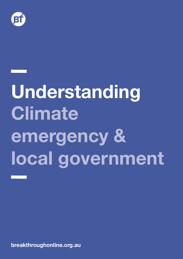

# **Understanding Climate emergency & local government**

**breakthroughonline.org.au**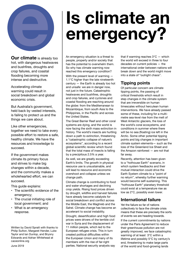

**Our climate** is already too hot, with dangerous heatwaves and bushfires, droughts and crop failures, and coastal flooding becoming more intense and destructive.

Accelerating climate warming could result in social breakdown and global economic crisis.

But Australia's government, held back by vested interests, is failing to protect us and the things we care about.

Like other emergencies, together we need to take every possible effort to restore a safe, healthy climate. We have the resources and knowledge to succeed.

If the government makes climate its primary focus and strives to make big changes within a decade, and the community makes a wholehearted effort, we can succeed.

This guide explains:

- The scientific evidence of the emergency;
- The crucial initiating role of local government; and
- What is an emergency response.

Written by David Spratt with thanks to Philip Sutton, Margaret Hender, Luke Taylor and Ian Dunlop, and Bryony Edwards and Adrian Whitehead at caceonline.org

#### June 2019

## **Is climate an emergency?**

An emergency situation is a threat to people, property and/or society that has the potential to overwhelm them. So why has climate warming now reached this emergency condition?

With the present level of warming — 1.1°C higher than the late nineteenth century — the Earth is already too hot and unsafe: we are in danger now, not just in the future. Catastrophic heatwaves and bushfires, droughts and crop failures, and cyclones and coastal flooding are reaching around the globe: from the Mediterranean to Mozambique, from south Asia to the Philippines, in the Pacific and across the United States.

The Great Barrier Reef and other coral systems are dying, and the world is now facing the sixth mass extinction in history. The world's insects are hurtling down a path to extinction, threatening a "catastrophic collapse of nature's ecosystems", according to a recent global scientific review which found that the total mass of insects is falling by a precipitous 2.5% a year.

As well, we are greatly exceeding Earth's limits. The growth in physical resource use is unsustainable, and will lead to resource and economic overshoot and collapse unless we change path.

Climate change is contributing to food and water shortages and declining crop yields. Rising food prices driven by drought, wildfire and harvest failures have already become catalysts for social breakdown and conflict across the Middle East, the Maghreb and the Sahel. Climate change has become an accelerant to social instability.

Drought, desertification and high food prices were drivers of the terrible civil war in Syria and the displacement of 11 million people, which led to the European refugee crisis. This in turn created political difficulties within the European Union and many of its members with the rise of far-right parties. National security analysts say that if warming reaches 3°C — which the world will exceed in three to four decades on current policies — the international order between nations will break down and the world might move into a state of "outright chaos".

#### **Tipping points**

Of particular concern are climate tipping points, the passing of critical thresholds which result in step changes in the climate system that are irreversible on human timescales without herculean human interventions. We have already passed some of these, including for a multimetre sea-level rise from the melt of West Antarctic glaciers, the loss of the world's coral ecosystems, and conditions in summer where there will be no sea (floating) ice left in the Arctic. Some other potential tipping points and big changes in important climate system elements— such as the loss of the Greenland Ice Sheet and the Amazon rainforest — are not that far away.

Recently, attention has been given to a "hothouse Earth" scenario, in which system feedbacks and their mutual interaction could drive the Earth System climate to a "point of no return", whereby further warming would become self-sustaining. This "hothouse Earth" planetary threshold could exist at a temperature rise as low as 2°C, possibly even lower.

#### **International failure**

Yet the failure so far of nations collectively to face the climate crisis means that these are precisely the sorts of events we are heading towards. If the current commitments by nations under the Paris Agreement to reduce their greenhouse pollution are not greatly improved, we face catastrophic warming of at least 3°C within a lifetime and possibly 5°C by century's end, threatening to make large parts of the world and food-growing lands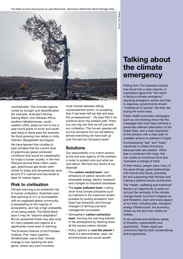Fire-killed ancient pencil pines at Lake Mackenzie, Tasmanian Wilderness World Heritage Area.



uninhabitable. This includes regions ruined by drought and desertification (for example, Australia's Murray-Darling Basin, sub-Saharan Africa, southern Mediterranean, southwestern USA), areas too hot to live in year-round (parts of south and southeast Asia) or rising seas (for example, the food-growing river deltas in India, Vietnam, Bangladesh and Egypt). We have learned from studies of past climates that the current level of greenhouse gases produced conditions that would be catastrophic for today's human society. In the mid-Pliocene around three million years ago, greenhouse gas levels were similar to today and temperatures were around 3°C warmer and sea levels at least 25 metres higher.

#### **Risk to civilisation**

Climate warming is an existential risk to human civilisation. Scientists warn that warming of 4°C is incompatible with an organised global community, is devastating to the majority of ecosystems, and has a high probability of not being stable. The World Bank says it may be "beyond adaptation". But an existential threat may also exist for many peoples and regions at a significantly lower level of warming.

The Emeritus Director of the Potsdam Institute, Prof. Hans Joachim Schellnhuber, warns that "climate change is now reaching the endgame, where very soon humanity

must choose between taking unprecedented action, or accepting that it has been left too late and bear the consequences". He says that if we continue down the present path "there is a very big risk that we will just end our civilisation. The human species will survive somehow but we will destroy almost everything we have built up over the last two thousand years".

#### **Solutions**

Our responsibility is to match actions to the size and urgency of the problem, in order to protect who and what we care about. We have four levers at our disposal:

- The **carbon neutral lever**: zero emissions of carbon dioxide with renewable energy, electric transport and changes to industrial processes.
- The **super pollutant lever**: cutting short-lived climate pollutants such as methane to the maximum extent possible by ending emissions from fossil fuel extraction and through changes to farming and landmanagement processes.
- Atmospheric **carbon extraction lever**: thinning the warming blanket in the atmosphere by drawing down all the excess carbon dioxide.
- Policy options to **cool the planet** if there is a demonstrable, clear, net environmental and social benefit.

## **Talking about the climate emergency**

Polling from The Australia Institute has found that a clear majority of Australians agree that "the nation is facing a climate emergency" requiring emergency action and that, in response, governments should "mobilise all of society" like they did during the world wars.

Public health promotion campaigns such as not smoking show that the messages that work best combine a personally relevant description of the threat (fear), and a clear exposition of the solution with a clear path of available actions to address it (hope).

Counterposing "fear" and "hope" narratives is a false dichotomy, because both are needed. When fear is combined with hope, this can create an emotional drive that motivates a change of habit.

In their hearts, people value many of the same things: good relationships with friends and family, providing for and supporting their families and making a positive social contribution.

The "health, wellbeing and livelihood" frame is an opportunity to spell out not just the centrality of the climate change threat, but how it impacts on, and threatens, each and every aspect of our lives, including jobs, transport, energy infrastructure, the economy, where we live and even where we holiday.

It can activate and reinforce values of empathy, responsibility and opportunity. These values are commonly held by both conservatives and progressives.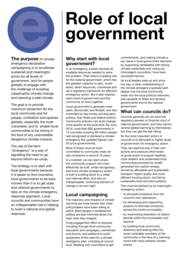

**The purpose** of climate emergency declaration campaigning is to accelerate sustained and meaningful action by all levels of government, and for people globally to engage with the challenge of avoiding catastrophic climate change and restoring a safe climate.

The goal is to provide maximum protection for the local community and for people, civilisation and species globally, especially the most vulnerable, and to enable local communities to be strong in the face of any unavoidable dangerous climate impacts.

The use of the term "emergency" is a way of signalling the need to go beyond reform-as-usual.

The strategy is to start with local governments because it is easier to find innovative local governments to be early movers than it is to get state and national governments to take on the climate emergency response approach. Local councils and communities have an indispensable role in helping to build a national and global response.

## **Role of local government**

#### **Why start with local government?**

In an emergency, society devotes all available resources needed to solve the problem. That means a leading role for the national government, which has the greatest capacity to plan, invest taxes, direct resources, coordinate and set a regulatory framework for effective emergency action. But it also requires every level of government and the community to work together.

Local government is generally more open, democratic and flexible, and less controlled by big money and big party politics, than State and federal politics. Community activism can build change more quickly at the local level. By June 2019, more than 600 governments in 13 countries covering 80 million people had recognised or declared a climate emergency (for updated figures, see bit.ly/ce-governments).

Most of these councils have committed to community-wide net zero emissions in around 10 years.

In a nutshell, we can start where the community support can most effectively be built, whilst recognising that local climate emergency action is both a building block to a wider and national effort, and also an indispensable, continuing element of change in its own right.

#### **Local campaigning**

The trajectory and impacts of climate warming are more severe than most policymakers have been willing to admit. Most people in professional politics are less informed about this topic than they imagine.

A big engagement effort is required, including through local community education and campaigns, workshops and forums, and petitions to build awareness of the need for a climate emergency plan, including at council level. Meeting with councillors to get

commitments, and making climate a key issue in local government elections by supporting candidates with strong climate credentials and voting out intransigent councillors, have been successful tactics.

As local leaders step up and show the way, a clear understanding of the climate emergency spreads both deeper into the local community, wider into the local political networks, and upwards to State and territory governments and to the national government.

#### **What can councils do?**

Councils generally do not have the regulatory powers or financial clout of national governments, and they cannot reverse global warming by themselves, but they can get the ball rolling.

So the most important action of councils is to advocate to higher levels of government for emergency action.

They can lead the way in their own actions and pressure other levels of government to support healthier, more resilient and sustainable local communities powered by locally generated low-carbon energy, served by affordable and sustainable transport, higher quality and more efficient housing stock, and fed by sustainable food and land systems.

This must be backed up by meaningful emergency action:

- to eliminate emissions from the council's own operations;
- by developing and supporting projects to eliminate emissions across the whole municipality;
- by maximising drawdown of carbon dioxide within the municipality and beyond;
- by building local community resilience and looking after the most vulnerable members of the community in the face of a warming world with more extreme climate events.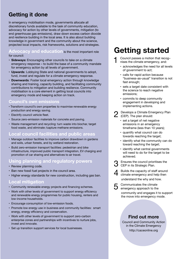### **Getting it done**

In emergency mobilisation mode, governments allocate all discretionary funds available to the task of community education, advocacy for action by other levels of governments, mitigation (to end greenhouse gas emissions), draw down excess carbon dioxide and resilience building in the local area. It is also about building knowledge in government and the community about the science, projected local impacts, risk frameworks, solutions and strategies.

**Advocacy and education** is the most important role for council:

- **Sideways:** Encouraging other councils to take on a climate emergency response – to build the base of a community mandate for emergency action by all levels of government.
- **Upwards**: Lobbying State and national governments to adopt, fund, invest and regulate for a climate emergency response.
- **Downwards**: Foster local emergency action through knowledge sharing and training, capacity building, and facilitating community contributions to mitigation and building resilience. Community mobilisation is a core element in getting local councils into emergency mode and keeping action on track.

#### **Council's own emissions**

- Transform council's own properties to maximise renewable energy production and energy saving.
- Electrify council vehicle fleet.
- Source zero-emission materials for concrete and paving.
- Waste management and recycling: turn waste into biochar, target food waste, and eliminate /capture methane emissions.

#### **Local council facilities and public areas**

- Manage outdoor facilities to improve carbon drawdown in gardens and soils, urban forests, and by wetland restoration.
- Build zero-emission transport facilities: pedestrian and bike infrastructure, improved public transport integration, EV charging and promotion of car sharing and alternatives to air travel.

#### **Using planning and regulatory powers**

- Review planning code.
- Ban new fossil fuel projects in the council area.
- Higher energy standards for new construction, including gas ban.

#### **Local mitigation**

- Community renewable energy projects and financing schemes.
- Work with other levels of government to support energy efficiency and renewable energy programmes for public housing, renters and low-income households.
- Encourage consumption of low-emission foods.
- Promote low energy use in business and community facilities: smart energy, energy efficiency and conservation.
- Work with other levels of government to support zero-carbon enterprise zones and partnerships with incentives to nurture jobs, invest and innovate.
- Set up transition support services for local businesses.

## **Getting started**

- 1 Council passes a motion that recog– nises the climate emergency, and:
	- acknowledges the need for all levels of government to act;
	- calls for rapid action because "business-as-usual" transition is not fast enough;
	- sets a target date consistent with the science to reach negative emissions;
	- commits to deep community engagement in developing and implementing actions.
- 2 Develops a Climate Emergency Plan<br>
(CEP). The plan should:
	- set a target of net negative emissions in an emergency timeframe (less than 10 years);
	- quantify what council can do towards reaching the target;
	- identify what the community can do toward reaching the target;
	- identify what central governments will need to do for the target to be achieved.
- **3** Ensures the council prioritises the CEP in its Strategic Plan.
- 4 Builds the capacity of staff around<br>climate emergency and help then understand the why and how.
- 5 Communicates the climate emergency approach to the community and engages it to support the move into emergency mode.

#### **Find out more**

Council and Community Action in the Climate Emergency http://caceonline.org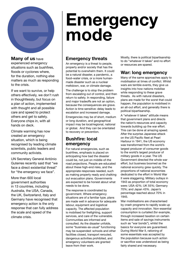

#### **Many of us** have

experienced emergency situations such as bushfires, floods or cyclones where, for the duration, nothing else matters as much as responding to the crisis.

If we want to survive, or help others effectively, we don't rush in thoughtlessly, but focus on a plan of action, implemented with thought and all possible care and speed to protect others and get to safety. Everyone chips in, with all hands on deck.

Climate warming has now created an emergency situation, which is being recognised by leading climate scientists, public leaders and community activists.

UN Secretary General António Guterres recently said that "we face a direct existential threat" for "the emergency we face".

More than 600 local government authorities in 13 countries, including Australia, the USA, Canada, the UK, Switzerland, Italy and Germany have recognised that emergency action is the only response that can fully address the scale and speed of the climate crisis.

## **Emergency threats**

**mode**

**Emergency** 

An emergency is a threat to people, property and/or society that has the potential to overwhelm them. It could be a natural disaster, a pandemic, a food–water crisis, or a more humanmade disaster such as a nuclear meltdown, war, or climate damage.

The challenge is to stop the problem from escalating out of control, and then return to safety. In responding, failure and major tradeoffs are not an option, because the consequences are grave. Action is time sensitive: delay leads to escalation and increased damage.

Emergencies may be of short, medium or long duration, and geographical impact may be local/regional, national or global. And they can be orientated to recovery or prevention.

#### **Bushfire: local emergency**

For natural emergencies, such as bushfires, emphasis is placed on anticipating how bad the disaster could be, not just on middle-of-the road projections. People are educated about these high-end risks, and the appropriate responses needed, such as making property ready and chalking out evacuation plans. Governments are expected to be honest about what needs to be done.

The response is coordinated by government. Where emergency situations are of a familiar type, plans are made well in advance for adequate labour, equipment and logistical capacity. The affected population is mobilised for firefighting, support services, and care of the vulnerable. Communities are informed and consulted. As the disaster unfolds, some "business-as-usual" functioning may be suspended: schools and other facilities closed, transport rerouted, dangerous activities prohibited, and emergency volunteers are granted leave from their work.

Mostly, there is political bipartisanship to do "whatever it takes" and no effort or resources are spared.

#### **War: long emergency**

Many of the same approaches apply to mobilisation at times of conflict. Whilst wars are terrible events, they give us insights into how nations mobilise while responding to these grave threats. As with natural disasters, plans are made for the worst that could happen, the population is mobilised in an all-out effort, and generally there is political bipartisanship.

A "whatever it takes" attitude means that government plans and directs the nation's resources and capacity towards building up the war effort. This can be done at amazing speed. After the surprise Japanese attack on the US Pacific fleet at Pearl Harbour in 1941, the US economy was transformed from the world's largest producer of consumer goods to the world's largest producer of military goods in a year. The US Government directed the whole war effort, but business boomed as the national economy grew quickly. The proportions of national economies dedicated to the effort in World War II were staggering. Military outlays in 1943 as proportion of total economy were: USA 42%; UK 55%; Germany 70%; and Japan 43%. Japan's percentage reached about 70% in 1945.

War mobilisations are characterised by crash programs to rapidly scale up capacity and innovation. Non-essential consumption is curtailed (for example, through increased taxation on certain items and sale of savings instruments such as "war bonds"), whilst the basics for everyone are guaranteed. During World War II, rationing of some essentials was accepted by the population because such action or sacrifice was understood as being fairly shared and necessary.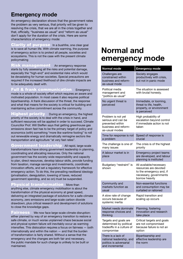#### **Emergency mode**

An emergency declaration shows that the government rates the problem as very serious, that priority will be given to resolving the crisis, that we are all in the crisis together and that, officially, "business as usual" and "reform as usual" don't apply for the duration of the crisis. Here are some characteristics of emergency mode:

Clarity of purposeIn a bushfire, one clear goal is to save all human life. With climate warming, the purpose of emergency action is to protect all people, societies and ecosystems. This is not the case with the present climate policymaking

Risk management An emergency response starts by fully assessing all the risks and potential damage, especially the "high-end" and existential risks which would be devastating for human societies. Special precautions are required if the increased likelihood of dire climate impacts are to be adequately dealt with.

#### communication Emergency

mode is a whole-of-society effort which requires an aware and motivated population. In most cases it also requires political bipartisanship. A frank discussion of the threat, the response and what that means for the society is critical for building and maintaining active commitment across the community.

**priority** During an emergency, the highest priority of the society is to deal with the crisis in hand, and sufficient resources will be applied in order to succeed. Climate Councillor Prof. Will Steffen says that getting greenhouse gas emissions down fast has to be the primary target of policy and economics (with) something "more like wartime footing" to roll out renewable energy and dramatically reimagine sectors like transportation and agriculture "at very fast rates".

Government leadership All rapid, large-scale transformations have strong government leadership in planning, coordinating and allocating resources. Only the national government has the society-wide responsibility and capacity to plan, direct resources, develop labour skills, provide funding from taxation, manage savings and investments, coordinate innovation efforts, and set a regulatory framework for effective emergency action. To do this, the prevailing neoliberal ideology (privatisation, deregulation, lowering of taxes, reduced government spending, and so on) must be suspended.

 $\boldsymbol{\mu}$ sical transformation More than anything else, climate emergency mobilisation is about the transformation of the physical economy at great speed, delivering an integrated package of solutions for a safe-climate economy, zero emissions and large-scale carbon dioxide drawdown, plus critical research and development of solutions to close the knowledge gaps.

**Fairness** We now face large-scale climate disruption: either planned by way of an emergency transition to restore a safe climate, or much worse unplanned chaos because social and physical system failure will inevitably occur as warming intensifies. This dislocation requires a focus on fairness — both internationally and within the nation — and that the burden of transformation is fairly shared. Without a sense that the emergency and the changes are both fair and necessary, the public mandate for such change is unlikely to be built or maintained.

### **Normal and emergency mode**

| <b>Normal mode</b>                                                                                     | <b>Emergency mode</b>                                                                                                    |
|--------------------------------------------------------------------------------------------------------|--------------------------------------------------------------------------------------------------------------------------|
| Challenges are<br>constrained within<br>business and reform-<br>as-usual mode                          | Society engages<br>productively with crisis,<br>but not in panic mode                                                    |
| Political media<br>management and<br>"politics as usual"                                               | The situation is assessed<br>with brutal honesty.                                                                        |
| No urgent threat is<br>perceived                                                                       | Immediate, or looming,<br>threat to life, health,<br>property, or environment<br>is perceived                            |
| Problem is not yet<br>serious and can be<br>prevented within<br>business and reform-<br>as-usual modes | High probability of<br>escalation beyond control<br>if immediate action is not<br>taken                                  |
| Time for response is not<br>a problem                                                                  | Speed of response is<br>crucial                                                                                          |
| The challenge is one of<br>many issues                                                                 | The crisis is of the highest<br>priority                                                                                 |
| A labour market is in<br>place                                                                         | Emergency project teams<br>are developed, and labour<br>planning is instituted                                           |
| Budgetary "restraint" is<br>shown                                                                      | All available/necessary<br>resources are devoted<br>to the emergency and, if<br>necessary, governments<br>borrow heavily |
| Community and<br>markets function as<br>usual                                                          | Non-essential functions<br>and consumption may be<br>curtailed or rationed                                               |
| A slow rate of change<br>occurs because of<br>systemic inertia                                         | Rapid transition and<br>scaling up occurs                                                                                |
| Market needs dominate<br>response choices and<br>thinking                                              | Planning, fostering<br>innovation and research<br>take place                                                             |
| Targets and goals are<br>determined by political<br>tradeoffs in a culture of<br>compromise            | Critical targets and goals<br>are not compromised<br>because failure is not an<br>option                                 |
| There is a lack of<br>national leadership, and<br>politics is adversarial                              | Bipartisanship and<br>effective leadership are<br>the norm                                                               |

and incremental